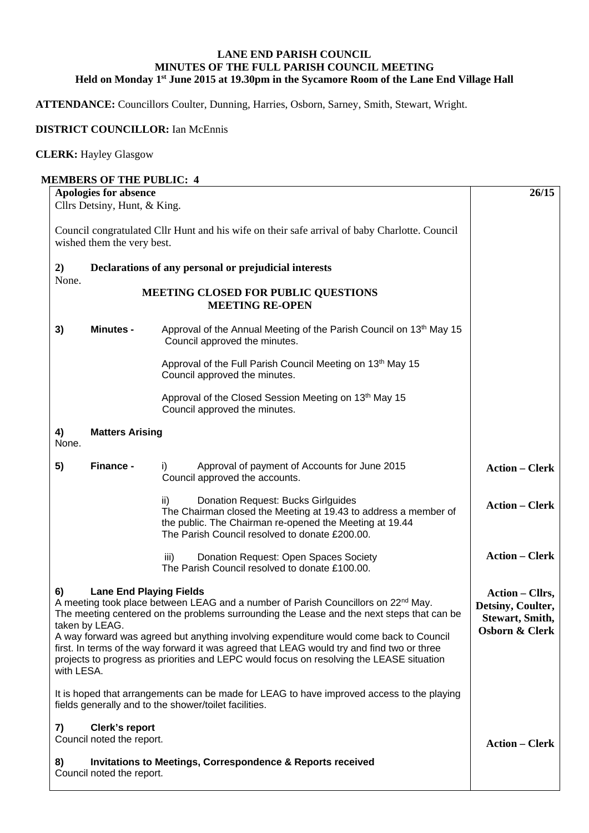## **LANE END PARISH COUNCIL MINUTES OF THE FULL PARISH COUNCIL MEETING Held on Monday 1st June 2015 at 19.30pm in the Sycamore Room of the Lane End Village Hall**

**ATTENDANCE:** Councillors Coulter, Dunning, Harries, Osborn, Sarney, Smith, Stewart, Wright.

## **DISTRICT COUNCILLOR:** Ian McEnnis

## **CLERK:** Hayley Glasgow

## **MEMBERS OF THE PUBLIC: 4 Apologies for absence** Cllrs Detsiny, Hunt, & King. Council congratulated Cllr Hunt and his wife on their safe arrival of baby Charlotte. Council wished them the very best. **2) Declarations of any personal or prejudicial interests**  None. **MEETING CLOSED FOR PUBLIC QUESTIONS MEETING RE-OPEN 3) Minutes -** Approval of the Annual Meeting of the Parish Council on 13<sup>th</sup> May 15 Council approved the minutes. Approval of the Full Parish Council Meeting on 13<sup>th</sup> May 15 Council approved the minutes. Approval of the Closed Session Meeting on 13<sup>th</sup> May 15 Council approved the minutes. **4) Matters Arising**  None. **5) Finance -** i)Approval of payment of Accounts for June 2015 Council approved the accounts. ii) Donation Request: Bucks Girlguides The Chairman closed the Meeting at 19.43 to address a member of the public. The Chairman re-opened the Meeting at 19.44 The Parish Council resolved to donate £200.00. iii) Donation Request: Open Spaces Society The Parish Council resolved to donate £100.00. **6) Lane End Playing Fields**  A meeting took place between LEAG and a number of Parish Councillors on  $22<sup>nd</sup>$  May. The meeting centered on the problems surrounding the Lease and the next steps that can be taken by LEAG. A way forward was agreed but anything involving expenditure would come back to Council first. In terms of the way forward it was agreed that LEAG would try and find two or three projects to progress as priorities and LEPC would focus on resolving the LEASE situation with LESA. It is hoped that arrangements can be made for LEAG to have improved access to the playing fields generally and to the shower/toilet facilities. **7) Clerk's report**  Council noted the report. **8) Invitations to Meetings, Correspondence & Reports received 26/15 Action – Clerk Action – Clerk Action – Clerk Action – Cllrs, Detsiny, Coulter, Stewart, Smith, Osborn & Clerk Action – Clerk**

Council noted the report.